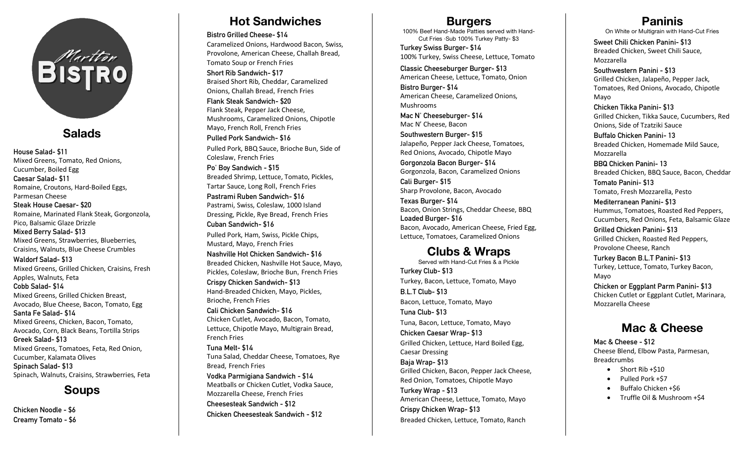

## **Salads**

**House Salad- \$11**  Mixed Greens, Tomato, Red Onions, Cucumber, Boiled Egg **Caesar Salad- \$11**  Romaine, Croutons, Hard-Boiled Eggs, Parmesan Cheese **Steak House Caesar- \$20**  Romaine, Marinated Flank Steak, Gorgonzola, Pico, Balsamic Glaze Drizzle **Mixed Berry Salad- \$13** Mixed Greens, Strawberries, Blueberries, Craisins, Walnuts, Blue Cheese Crumbles **Waldorf Salad- \$13** Mixed Greens, Grilled Chicken, Craisins, Fresh Apples, Walnuts, Feta **Cobb Salad- \$14** Mixed Greens, Grilled Chicken Breast, Avocado, Blue Cheese, Bacon, Tomato, Egg **Santa Fe Salad- \$14** Mixed Greens, Chicken, Bacon, Tomato, Avocado, Corn, Black Beans, Tortilla Strips **Greek Salad- \$13** Mixed Greens, Tomatoes, Feta, Red Onion, Cucumber, Kalamata Olives **Spinach Salad- \$13** Spinach, Walnuts, Craisins, Strawberries, Feta

### **Soups**

**Chicken Noodle - \$6 Creamy Tomato - \$6**

## **Hot Sandwiches**

**Bistro Grilled Cheese- \$14**

Caramelized Onions, Hardwood Bacon, Swiss, Provolone, American Cheese, Challah Bread, Tomato Soup or French Fries

**Short Rib Sandwich- \$17** Braised Short Rib, Cheddar, Caramelized Onions, Challah Bread, French Fries

**Flank Steak Sandwich- \$20** Flank Steak, Pepper Jack Cheese, Mushrooms, Caramelized Onions, Chipotle Mayo, French Roll, French Fries **Pulled Pork Sandwich- \$16**

Pulled Pork, BBQ Sauce, Brioche Bun, Side of Coleslaw, French Fries

**Po' Boy Sandwich - \$15** Breaded Shrimp, Lettuce, Tomato, Pickles, Tartar Sauce, Long Roll, French Fries **Pastrami Ruben Sandwich- \$16** Pastrami, Swiss, Coleslaw, 1000 Island Dressing, Pickle, Rye Bread, French Fries **Cuban Sandwich- \$16**

Pulled Pork, Ham, Swiss, Pickle Chips, Mustard, Mayo, French Fries

**Nashville Hot Chicken Sandwich- \$16** Breaded Chicken, Nashville Hot Sauce, Mayo, Pickles, Coleslaw, Brioche Bun, French Fries **Crispy Chicken Sandwich- \$13** Hand-Breaded Chicken, Mayo, Pickles, Brioche, French Fries **Cali Chicken Sandwich- \$16**

Chicken Cutlet, Avocado, Bacon, Tomato, Lettuce, Chipotle Mayo, Multigrain Bread, French Fries

**Tuna Melt- \$14** Tuna Salad, Cheddar Cheese, Tomatoes, Rye Bread, French Fries **Vodka Parmigiana Sandwich - \$14**

Meatballs or Chicken Cutlet, Vodka Sauce, Mozzarella Cheese, French Fries **Cheesesteak Sandwich - \$12 Chicken Cheesesteak Sandwich - \$12**

#### **Burgers**

100% Beef Hand-Made Patties served with Hand-Cut Fries ∙Sub 100% Turkey Patty- \$3

**Turkey Swiss Burger- \$14** 100% Turkey, Swiss Cheese, Lettuce, Tomato

**Classic Cheeseburger Burger- \$13** American Cheese, Lettuce, Tomato, Onion

**Bistro Burger- \$14** American Cheese, Caramelized Onions, Mushrooms

**Mac N' Cheeseburger- \$14** Mac N' Cheese, Bacon

**Southwestern Burger- \$15** Jalapeño, Pepper Jack Cheese, Tomatoes, Red Onions, Avocado, Chipotle Mayo

**Gorgonzola Bacon Burger- \$14** Gorgonzola, Bacon, Caramelized Onions

**Cali Burger- \$15** Sharp Provolone, Bacon, Avocado

**Texas Burger- \$14** Bacon, Onion Strings, Cheddar Cheese, BBQ **Loaded Burger- \$16** Bacon, Avocado, American Cheese, Fried Egg, Lettuce, Tomatoes, Caramelized Onions

## **Clubs & Wraps**

Served with Hand-Cut Fries & a Pickle **Turkey Club- \$13** Turkey, Bacon, Lettuce, Tomato, Mayo **B.L.T Club- \$13** Bacon, Lettuce, Tomato, Mayo **Tuna Club- \$13** Tuna, Bacon, Lettuce, Tomato, Mayo **Chicken Caesar Wrap- \$13** Grilled Chicken, Lettuce, Hard Boiled Egg, Caesar Dressing **Baja Wrap- \$13** Grilled Chicken, Bacon, Pepper Jack Cheese, Red Onion, Tomatoes, Chipotle Mayo **Turkey Wrap - \$13** American Cheese, Lettuce, Tomato, Mayo **Crispy Chicken Wrap- \$13** Breaded Chicken, Lettuce, Tomato, Ranch

**Paninis** On White or Multigrain with Hand-Cut Fries

**Sweet Chili Chicken Panini- \$13** Breaded Chicken, Sweet Chili Sauce, Mozzarella

**Southwestern Panini - \$13** Grilled Chicken, Jalapeño, Pepper Jack, Tomatoes, Red Onions, Avocado, Chipotle Mayo

**Chicken Tikka Panini- \$13** Grilled Chicken, Tikka Sauce, Cucumbers, Red Onions, Side of Tzatziki Sauce

**Buffalo Chicken Panini- 13** Breaded Chicken, Homemade Mild Sauce, Mozzarella

**BBQ Chicken Panini- 13** Breaded Chicken, BBQ Sauce, Bacon, Cheddar

**Tomato Panini- \$13** Tomato, Fresh Mozzarella, Pesto

**Mediterranean Panini- \$13** Hummus, Tomatoes, Roasted Red Peppers, Cucumbers, Red Onions, Feta, Balsamic Glaze

**Grilled Chicken Panini- \$13** Grilled Chicken, Roasted Red Peppers, Provolone Cheese, Ranch

**Turkey Bacon B.L.T Panini- \$13** Turkey, Lettuce, Tomato, Turkey Bacon, Mayo

**Chicken or Eggplant Parm Panini- \$13** Chicken Cutlet or Eggplant Cutlet, Marinara, Mozzarella Cheese

# **Mac & Cheese**

**Mac & Cheese - \$12** Cheese Blend, Elbow Pasta, Parmesan, Breadcrumbs

- Short Rib +\$10
- Pulled Pork +\$7
- Buffalo Chicken +\$6
- Truffle Oil & Mushroom +\$4